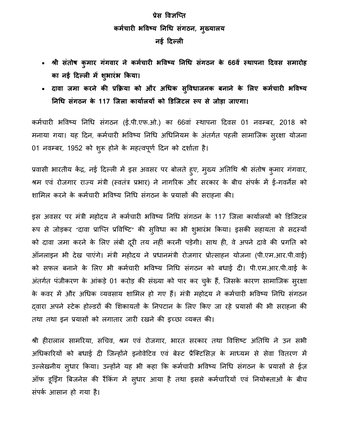## प्रेस विज्ञप्ति कर्मचारी भविष्य निधि संगठन, मुख्यालय नई दिल्ली

- श्री संतोष कुमार गंगवार ने कर्मचारी भविष्य निधि संगठन के 66वें स्थापना दिवस समारोह का नई दिल्ली में शुभारंभ किया।
- दावा जमा करने की प्रक्रिया को और अधिक स्**विधाजनक बनाने के लिए कर्मचारी भविष्य** निधि संगठन के 117 जिला कार्यालयों को डिजिटल रूप से जोड़ा जाएगा।

कर्मचारी भविष्य निधि संगठन (ई.पी.एफ.ओ.) का 66वां स्थापना दिवस 01 नवम्बर, 2018 को मनाया गया। यह दिन, कर्मचारी भविष्य निधि अधिनियम के अंतर्गत पहली सामाजिक सुरक्षा योजना 01 नवम्बर, 1952 को शुरू होने के महत्वपूर्ण दिन को दर्शाता है।

प्रवासी भारतीय केंद्र, नई दिल्ली में इस अवसर पर बोलते हूए, मुख्य अतिथि श्री संतोष कुमार गंगवार, श्रम एवं रोजगार राज्य मंत्री (स्वतंत्र प्रभार) ने नागरिक और सरकार के बीच संपर्क में ई-गवर्नेस को शामिल करने के कर्मचारी भविष्य निधि संगठन के प्रयासों की सराहना की।

इस अवसर पर मंत्री महोदय ने कर्मचारी भविष्य निधि संगठन के 117 जिला कार्यालयों को डिजिटल रूप से जोड़कर "दावा प्राप्ति प्रविष्टि" की सुविधा का भी श्आरंभ किया। इसकी सहायता से सदस्यों को दावा जमा करने के लिए लंबी दूरी तय नहीं करनी पड़ेगी। साथ ही, वे अपने दावे की प्रगति को ऑनलाइन भी देख पाएंगे। मंत्री महोदय ने प्रधानमंत्री रोजगार प्रोत्साहन योजना (पी.एम.आर.पी.वाई) को सफल बनाने के लिए भी कर्मचारी भविष्य निधि संगठन को बधाई दी। पी.एम.आर.पी.वाई के अंतर्गत पंजीकरण के आंकड़े 01 करोड़ की संख्या को पार कर चुके हैं, जिसके कारण सामाजिक सुरक्षा के कवर में और अधिक व्यवसाय शामिल हो गए हैं। मंत्री महोदय ने कर्मचारी भविष्य निधि संगठन दवारा अपने स्टेक होल्डरों की शिकायतों के निपटान के लिए किए जा रहे प्रयासों की भी सराहना की तथा तथा इन प्रयासों को लगातार जारी रखने की इच्छा व्यक्त की।

श्री हीरालाल सामरिया, सचिव, श्रम एवं रोजगार, भारत सरकार तथा विशिष्ट अतिथि ने उन सभी अधिकारियों को बधाई दी जिन्होंने इनोवेटिव एवं बेस्ट प्रैक्टिसिज़ के माध्यम से सेवा वितरण में उल्लेखनीय स्धार किया। उन्होंने यह भी कहा कि कर्मचारी भविष्य निधि संगठन के प्रयासों से ईज़ ऑफ डूड़िंग बिजनेस की रैंकिंग में सुधार आया है तथा इससे कर्मचारियों एवं नियोक्ताओं के बीच संपर्क आसान हो गया है।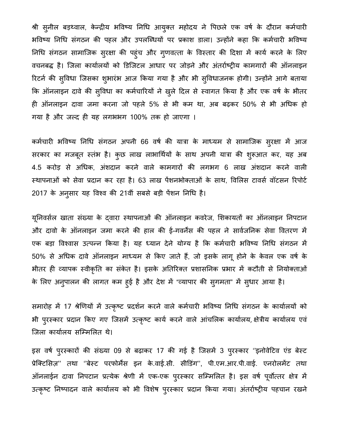श्री स्**नील बड़थ्वाल, केन्द्रीय भविष्य निधि आयुक्**त महोदय ने पिछले एक वर्ष के दौरान कर्मचारी भविष्य निधि संगठन की पहल और उपलब्धियों पर प्रकाश डाला। उन्होंने कहा कि कर्मचारी भविष्य निधि संगठन सामाजिक सुरक्षा की पहुंच और गुणवत्ता के विस्तार की दिशा में कार्य करने के लिए वचनबद्ध है। जिला कार्यालयों को डिजिटल आधार पर जोड़ने और अंतर्राष्ट्रीय कामगारों की ऑनलाइन रिटर्न की सुविधा जिसका शुभारंभ आज किया गया है और भी सुविधाजनक होगी। उन्होंने आगे बताया कि ऑनलाइन दावे की सुविधा का कर्मचारियों ने खुले दिल से स्वागत किया है और एक वर्ष के भीतर ही ऑनलाइन दावा जमा करना जो पहले 5% से भी कम था, अब बढ़कर 50% से भी अधिक हो गया है और जल्द ही यह लगभभग 100% तक हो जाएगा ।

कर्मचारी भविष्य निधि संगठन अपनी 66 वर्ष की यात्रा के माध्यम से सामाजिक सुरक्षा में आज सरकार का मजबूत स्तंभ है। कुछ लाख लाभार्थियों के साथ अपनी यात्रा की शुरूआत कर, यह अब 4.5 करोड़ से अधिक, अंशदान करने वाले कामगारों की लगभग 6 लाख अंशदान करने वाली स्थापनाओं को सेवा प्रदान कर रहा है। 63 लाख पेंशनभोक्ताओं के साथ, विलिस टावर्स वॉटसन रिपोर्ट 2017 के अनुसार यह विश्व की 21वीं सबसे बड़ी पेंशन निधि है।

यूनिवर्सल खाता संख्या के द्वारा स्थापनाओं की ऑनलाइन कवरेज, शिकायतों का ऑनलाइन निपटान और दावो के ऑनलाइन जमा करने की हाल की ई-गवर्नेंस की पहल ने सार्वजनिक सेवा वितरण में एक बड़ा विश्वास उत्पन्न किया है। यह ध्यान देने योग्य है कि कर्मचारी भविष्य निधि संगठन में 50% से अधिक दावे ऑनलाइन माध्यम से किए जाते हैं, जो इसके लागू होने के केवल एक वर्ष के भीतर ही व्यापक स्वीकृति का संकेत है। इसके अतिरिक्त प्रशासनिक प्रभार में कटौती से नियोक्ताओं के लिए अनुपालन की लागत कम हुई है और देश में "व्यापार की सुगमता" में सुधार आया है।

समारोह में 17 श्रेणियों में उत्कृष्ट प्रदर्शन करने वाले कर्मचारी भविष्य निधि संगठन के कार्यालयों को भी पुरस्कार प्रदान किए गए जिसमें उत्कृष्ट कार्य करने वाले आंचलिक कार्यालय, क्षेत्रीय कार्यालय एवं जिला कार्यालय सम्मिलित थे।

इस वर्ष प्**रस्कारों की संख्या 09 से बढ़ाकर 17 की ग**ई है जिसमें 3 पुरस्कार "इनोवेटिव एंड बेस्ट प्रेक्टिसिज़" तथा "बेस्ट परफोर्मेंस इन के.वाई.सी. सीडिंग", पी.एम.आर.पी.वाई. एनरोलमेंट तथा ऑनलाईन दावा निपटान प्रत्येक श्रेणी में एक-एक पुरस्कार सम्मिलित है। इस वर्ष पूर्वोत्तर क्षेत्र में उत्कृष्ट निष्पादन वाले कार्यालय को भी विशेष पुरस्कार प्रदान किया गया। अंतर्राष्ट्रीय पहचान रखने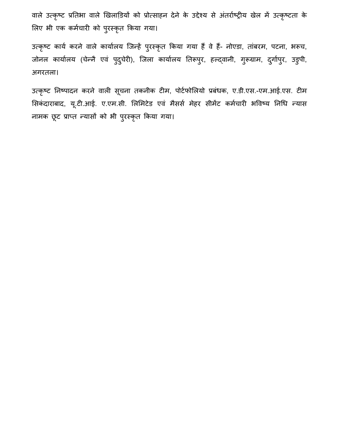वाले उत्कृष्ट प्रतिभा वाले खिलाडि़यों को प्रोत्साहन देने के उद्देश्य से अंतर्राष्ट्रीय खेल में उत्कृष्टता के लिए भी एक कर्मचारी को पुरस्कृत किया गया।

उत्कृष्ट कार्य करने वाले कार्यालय जिन्हें पुरस्कृत किया गया हैं वे हैं- नोएडा, तांबरम, पटना, भरूच, जोनल कार्यालय (चेन्नै एवं पुदुचेरी), जिला कार्यालय तिरूपुर, हल्द्वानी, गुरूग्राम, दुर्गापुर, उडुपी, अगरतला।

उत्कृष्ट निष्पादन करने वाली सूचना तकनीक टीम, पोर्टफोलियो प्रबंधक, ए.डी.एस.-एम.आई.एस. टीम सिकंदाराबाद, यू.टी.आई. ए.एम.सी. लिमिटेड एवं मैसर्स मेहर सीमेंट कर्मचारी भविष्य निधि न्यास नामक छूट प्राप्त न्यासों को भी पुरस्कृत किया गया।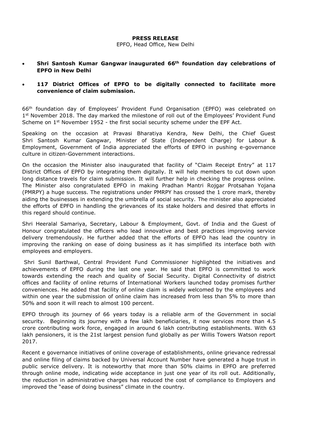## **PRESS RELEASE**

EPFO, Head Office, New Delhi

## **Shri Santosh Kumar Gangwar inaugurated 66th foundation day celebrations of EPFO in New Delhi**

## **117 District Offices of EPFO to be digitally connected to facilitate more convenience of claim submission.**

66th foundation day of Employees' Provident Fund Organisation (EPFO) was celebrated on 1<sup>st</sup> November 2018. The day marked the milestone of roll out of the Employees' Provident Fund Scheme on 1<sup>st</sup> November 1952 - the first social security scheme under the EPF Act.

Speaking on the occasion at Pravasi Bharatiya Kendra, New Delhi, the Chief Guest Shri Santosh Kumar Gangwar, Minister of State (Independent Charge) for Labour & Employment, Government of India appreciated the efforts of EPFO in pushing e-governance culture in citizen-Government interactions.

On the occasion the Minister also inaugurated that facility of "Claim Receipt Entry" at 117 District Offices of EPFO by integrating them digitally. It will help members to cut down upon long distance travels for claim submission. It will further help in checking the progress online. The Minister also congratulated EPFO in making Pradhan Mantri Rojgar Protsahan Yojana (PMRPY) a huge success. The registrations under PMRPY has crossed the 1 crore mark, thereby aiding the businesses in extending the umbrella of social security. The minister also appreciated the efforts of EPFO in handling the grievances of its stake holders and desired that efforts in this regard should continue.

Shri Heeralal Samariya, Secretary, Labour & Employment, Govt. of India and the Guest of Honour congratulated the officers who lead innovative and best practices improving service delivery tremendously. He further added that the efforts of EPFO has lead the country in improving the ranking on ease of doing business as it has simplified its interface both with employees and employers.

 Shri Sunil Barthwal, Central Provident Fund Commissioner highlighted the initiatives and achievements of EPFO during the last one year. He said that EPFO is committed to work towards extending the reach and quality of Social Security. Digital Connectivity of district offices and facility of online returns of International Workers launched today promises further conveniences. He added that facility of online claim is widely welcomed by the employees and within one year the submission of online claim has increased from less than 5% to more than 50% and soon it will reach to almost 100 percent.

EPFO through its journey of 66 years today is a reliable arm of the Government in social security. Beginning its journey with a few lakh beneficiaries, it now services more than 4.5 crore contributing work force, engaged in around 6 lakh contributing establishments. With 63 lakh pensioners, it is the 21st largest pension fund globally as per Willis Towers Watson report 2017.

Recent e governance initiatives of online coverage of establishments, online grievance redressal and online filing of claims backed by Universal Account Number have generated a huge trust in public service delivery. It is noteworthy that more than 50% claims in EPFO are preferred through online mode, indicating wide acceptance in just one year of its roll out. Additionally, the reduction in administrative charges has reduced the cost of compliance to Employers and improved the "ease of doing business" climate in the country.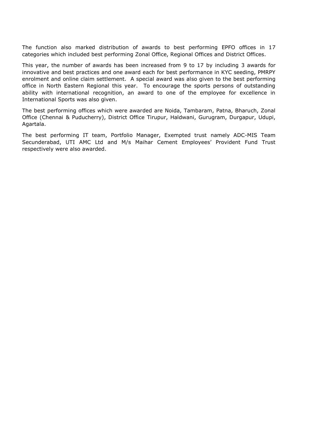The function also marked distribution of awards to best performing EPFO offices in 17 categories which included best performing Zonal Office, Regional Offices and District Offices.

This year, the number of awards has been increased from 9 to 17 by including 3 awards for innovative and best practices and one award each for best performance in KYC seeding, PMRPY enrolment and online claim settlement. A special award was also given to the best performing office in North Eastern Regional this year. To encourage the sports persons of outstanding ability with international recognition, an award to one of the employee for excellence in International Sports was also given.

The best performing offices which were awarded are Noida, Tambaram, Patna, Bharuch, Zonal Office (Chennai & Puducherry), District Office Tirupur, Haldwani, Gurugram, Durgapur, Udupi, Agartala.

The best performing IT team, Portfolio Manager, Exempted trust namely ADC-MIS Team Secunderabad, UTI AMC Ltd and M/s Maihar Cement Employees' Provident Fund Trust respectively were also awarded.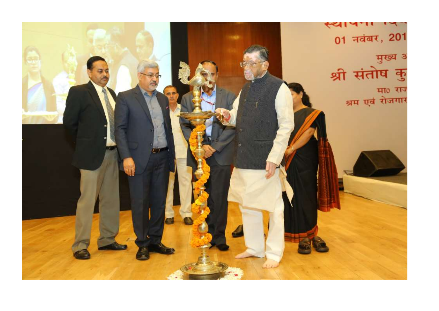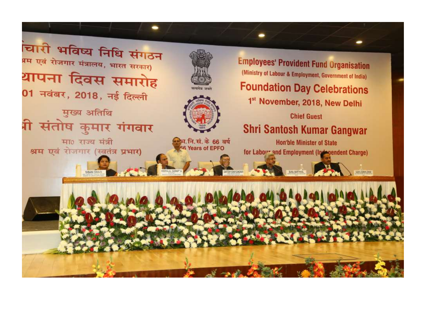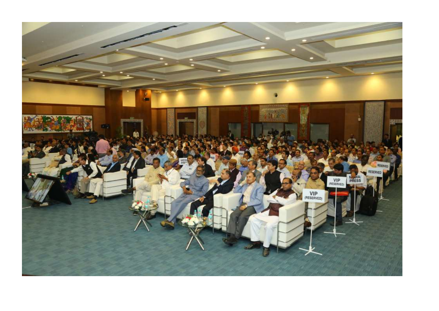